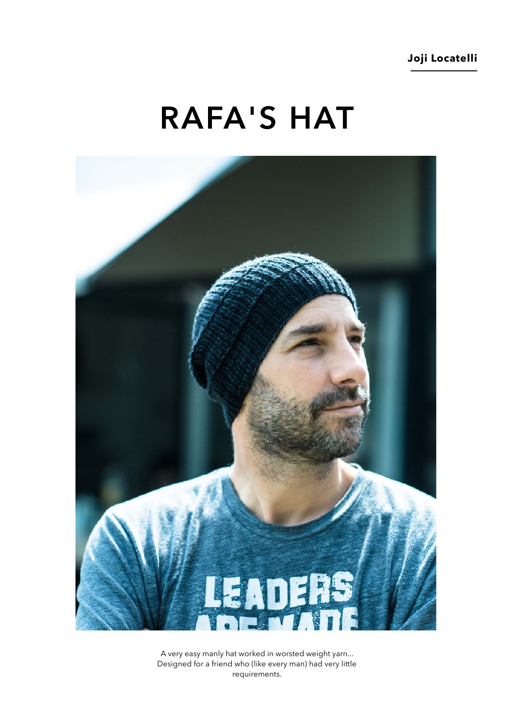# **RAFA'S HAT**



A very easy manly hat worked in worsted weight yarn... Designed for a friend who (like every man) had very little requirements.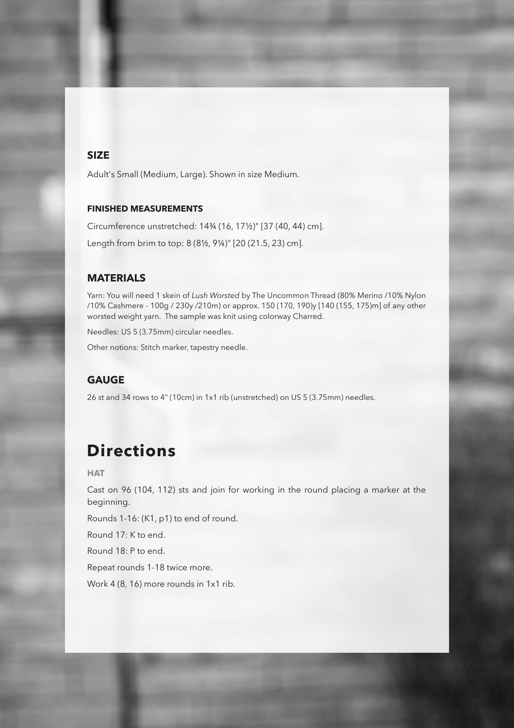### **SIZE**

Adult's Small (Medium, Large). Shown in size Medium.

#### **FINISHED MEASUREMENTS**

Circumference unstretched: 14¾ (16, 17½)" [37 (40, 44) cm]. Length from brim to top: 8 (8½, 9¼)" [20 (21.5, 23) cm].

#### **MATERIALS**

Yarn: You will need 1 skein of *Lush Worsted* by The Uncommon Thread (80% Merino /10% Nylon /10% Cashmere - 100g / 230y /210m) or approx. 150 (170, 190)y [140 (155, 175)m] of any other worsted weight yarn. The sample was knit using colorway Charred.

Needles: US 5 (3.75mm) circular needles.

Other notions: Stitch marker, tapestry needle.

### **GAUGE**

26 st and 34 rows to 4" (10cm) in 1x1 rib (unstretched) on US 5 (3.75mm) needles.

# **Directions**

**HAT** 

Cast on 96 (104, 112) sts and join for working in the round placing a marker at the beginning.

Rounds 1-16: (K1, p1) to end of round.

Round 17: K to end.

Round 18: P to end.

Repeat rounds 1-18 twice more.

Work 4 (8, 16) more rounds in 1x1 rib.